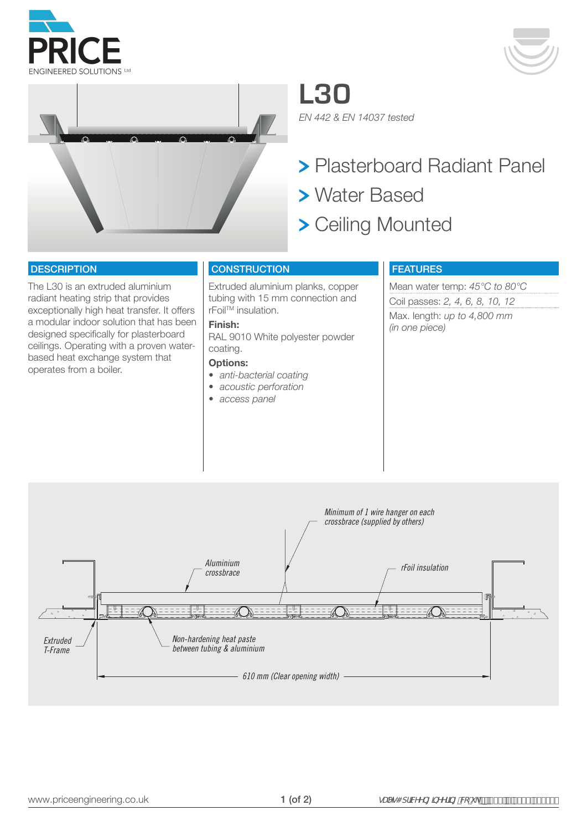





**L30** *EN 442 & EN 14037 tested*

- Plasterboard Radiant Panel
- Water Based
- > Ceiling Mounted

#### **DESCRIPTION**

The L30 is an extruded aluminium radiant heating strip that provides exceptionally high heat transfer. It offers a modular indoor solution that has been designed specifically for plasterboard ceilings. Operating with a proven waterbased heat exchange system that operates from a boiler.

## **CONSTRUCTION**

Extruded aluminium planks, copper tubing with 15 mm connection and rFoilTM insulation.

## **Finish:**

RAL 9010 White polyester powder coating.

#### **Options:**

- *• anti-bacterial coating*
- *• acoustic perforation*
- *• access panel*

## FEATURES

Mean water temp: *45°C to 80°C* Coil passes: *2, 4, 6, 8, 10, 12* Max. length: *up to 4,800 mm (in one piece)*